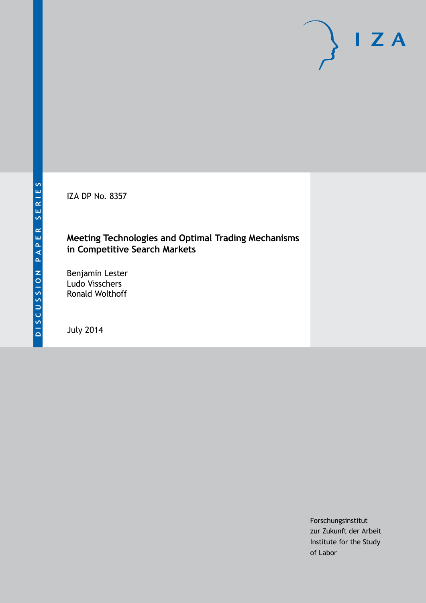IZA DP No. 8357

### **Meeting Technologies and Optimal Trading Mechanisms in Competitive Search Markets**

Benjamin Lester Ludo Visschers Ronald Wolthoff

July 2014

Forschungsinstitut zur Zukunft der Arbeit Institute for the Study of Labor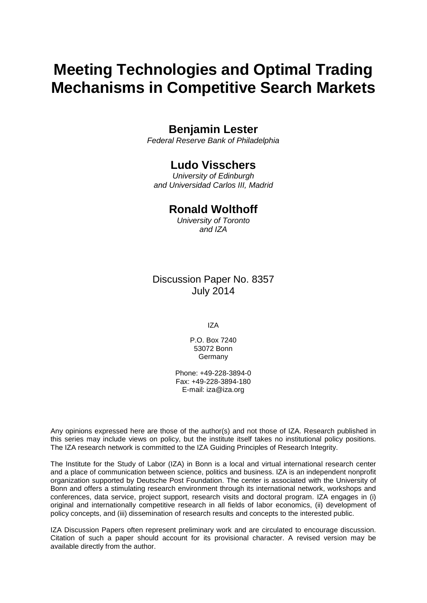# **Meeting Technologies and Optimal Trading Mechanisms in Competitive Search Markets**

# **Benjamin Lester**

*Federal Reserve Bank of Philadelphia*

# **Ludo Visschers**

*University of Edinburgh and Universidad Carlos III, Madrid*

### **Ronald Wolthoff**

*University of Toronto and IZA*

Discussion Paper No. 8357 July 2014

IZA

P.O. Box 7240 53072 Bonn **Germany** 

Phone: +49-228-3894-0 Fax: +49-228-3894-180 E-mail: [iza@iza.org](mailto:iza@iza.org)

Any opinions expressed here are those of the author(s) and not those of IZA. Research published in this series may include views on policy, but the institute itself takes no institutional policy positions. The IZA research network is committed to the IZA Guiding Principles of Research Integrity.

The Institute for the Study of Labor (IZA) in Bonn is a local and virtual international research center and a place of communication between science, politics and business. IZA is an independent nonprofit organization supported by Deutsche Post Foundation. The center is associated with the University of Bonn and offers a stimulating research environment through its international network, workshops and conferences, data service, project support, research visits and doctoral program. IZA engages in (i) original and internationally competitive research in all fields of labor economics, (ii) development of policy concepts, and (iii) dissemination of research results and concepts to the interested public.

<span id="page-1-0"></span>IZA Discussion Papers often represent preliminary work and are circulated to encourage discussion. Citation of such a paper should account for its provisional character. A revised version may be available directly from the author.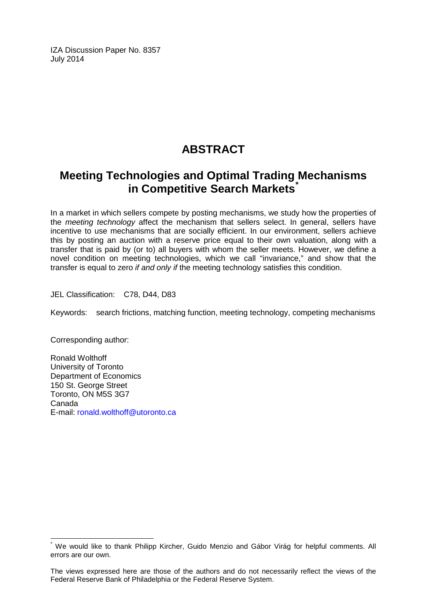IZA Discussion Paper No. 8357 July 2014

# **ABSTRACT**

# **Meeting Technologies and Optimal Trading Mechanisms in Competitive Search Markets[\\*](#page-1-0)**

In a market in which sellers compete by posting mechanisms, we study how the properties of the *meeting technology* affect the mechanism that sellers select. In general, sellers have incentive to use mechanisms that are socially efficient. In our environment, sellers achieve this by posting an auction with a reserve price equal to their own valuation, along with a transfer that is paid by (or to) all buyers with whom the seller meets. However, we define a novel condition on meeting technologies, which we call "invariance," and show that the transfer is equal to zero *if and only if* the meeting technology satisfies this condition.

JEL Classification: C78, D44, D83

Keywords: search frictions, matching function, meeting technology, competing mechanisms

Corresponding author:

Ronald Wolthoff University of Toronto Department of Economics 150 St. George Street Toronto, ON M5S 3G7 Canada E-mail: [ronald.wolthoff@utoronto.ca](mailto:ronald.wolthoff@utoronto.ca)

We would like to thank Philipp Kircher, Guido Menzio and Gábor Virág for helpful comments. All errors are our own.

The views expressed here are those of the authors and do not necessarily reflect the views of the Federal Reserve Bank of Philadelphia or the Federal Reserve System.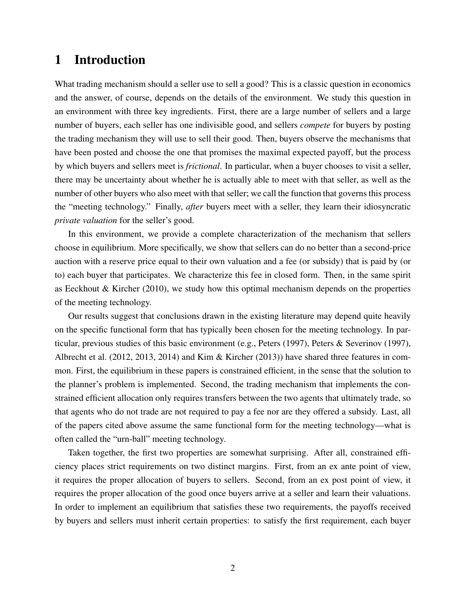# 1 Introduction

What trading mechanism should a seller use to sell a good? This is a classic question in economics and the answer, of course, depends on the details of the environment. We study this question in an environment with three key ingredients. First, there are a large number of sellers and a large number of buyers, each seller has one indivisible good, and sellers *compete* for buyers by posting the trading mechanism they will use to sell their good. Then, buyers observe the mechanisms that have been posted and choose the one that promises the maximal expected payoff, but the process by which buyers and sellers meet is *frictional*. In particular, when a buyer chooses to visit a seller, there may be uncertainty about whether he is actually able to meet with that seller, as well as the number of other buyers who also meet with that seller; we call the function that governs this process the "meeting technology." Finally, *after* buyers meet with a seller, they learn their idiosyncratic *private valuation* for the seller's good.

In this environment, we provide a complete characterization of the mechanism that sellers choose in equilibrium. More specifically, we show that sellers can do no better than a second-price auction with a reserve price equal to their own valuation and a fee (or subsidy) that is paid by (or to) each buyer that participates. We characterize this fee in closed form. Then, in the same spirit as Eeckhout & Kircher (2010), we study how this optimal mechanism depends on the properties of the meeting technology.

Our results suggest that conclusions drawn in the existing literature may depend quite heavily on the specific functional form that has typically been chosen for the meeting technology. In particular, previous studies of this basic environment (e.g., Peters (1997), Peters & Severinov (1997), Albrecht et al. (2012, 2013, 2014) and Kim & Kircher (2013)) have shared three features in common. First, the equilibrium in these papers is constrained efficient, in the sense that the solution to the planner's problem is implemented. Second, the trading mechanism that implements the constrained efficient allocation only requires transfers between the two agents that ultimately trade, so that agents who do not trade are not required to pay a fee nor are they offered a subsidy. Last, all of the papers cited above assume the same functional form for the meeting technology—what is often called the "urn-ball" meeting technology.

Taken together, the first two properties are somewhat surprising. After all, constrained efficiency places strict requirements on two distinct margins. First, from an ex ante point of view, it requires the proper allocation of buyers to sellers. Second, from an ex post point of view, it requires the proper allocation of the good once buyers arrive at a seller and learn their valuations. In order to implement an equilibrium that satisfies these two requirements, the payoffs received by buyers and sellers must inherit certain properties: to satisfy the first requirement, each buyer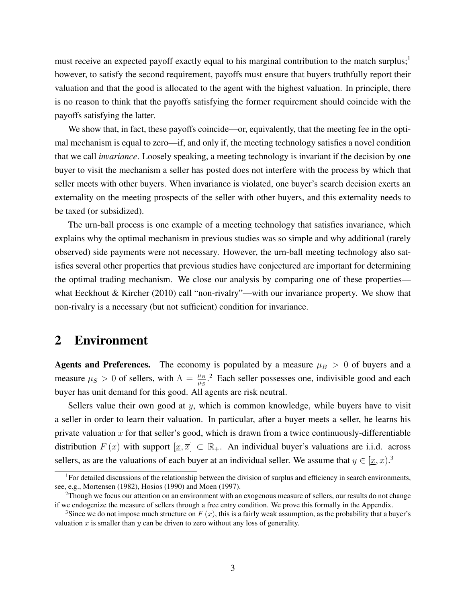must receive an expected payoff exactly equal to his marginal contribution to the match surplus;<sup>1</sup> however, to satisfy the second requirement, payoffs must ensure that buyers truthfully report their valuation and that the good is allocated to the agent with the highest valuation. In principle, there is no reason to think that the payoffs satisfying the former requirement should coincide with the payoffs satisfying the latter.

We show that, in fact, these payoffs coincide—or, equivalently, that the meeting fee in the optimal mechanism is equal to zero—if, and only if, the meeting technology satisfies a novel condition that we call *invariance*. Loosely speaking, a meeting technology is invariant if the decision by one buyer to visit the mechanism a seller has posted does not interfere with the process by which that seller meets with other buyers. When invariance is violated, one buyer's search decision exerts an externality on the meeting prospects of the seller with other buyers, and this externality needs to be taxed (or subsidized).

The urn-ball process is one example of a meeting technology that satisfies invariance, which explains why the optimal mechanism in previous studies was so simple and why additional (rarely observed) side payments were not necessary. However, the urn-ball meeting technology also satisfies several other properties that previous studies have conjectured are important for determining the optimal trading mechanism. We close our analysis by comparing one of these properties what Eeckhout & Kircher (2010) call "non-rivalry"—with our invariance property. We show that non-rivalry is a necessary (but not sufficient) condition for invariance.

## 2 Environment

Agents and Preferences. The economy is populated by a measure  $\mu_B > 0$  of buyers and a measure  $\mu_S > 0$  of sellers, with  $\Lambda = \frac{\mu_B}{\mu_S}$ . Each seller possesses one, indivisible good and each buyer has unit demand for this good. All agents are risk neutral.

Sellers value their own good at  $y$ , which is common knowledge, while buyers have to visit a seller in order to learn their valuation. In particular, after a buyer meets a seller, he learns his private valuation  $x$  for that seller's good, which is drawn from a twice continuously-differentiable distribution  $F(x)$  with support  $[\underline{x}, \overline{x}] \subset \mathbb{R}_+$ . An individual buyer's valuations are i.i.d. across sellers, as are the valuations of each buyer at an individual seller. We assume that  $y \in [\underline{x}, \overline{x})$ .

<sup>&</sup>lt;sup>1</sup>For detailed discussions of the relationship between the division of surplus and efficiency in search environments, see, e.g., Mortensen (1982), Hosios (1990) and Moen (1997).

<sup>&</sup>lt;sup>2</sup>Though we focus our attention on an environment with an exogenous measure of sellers, our results do not change if we endogenize the measure of sellers through a free entry condition. We prove this formally in the Appendix.

<sup>&</sup>lt;sup>3</sup>Since we do not impose much structure on  $F(x)$ , this is a fairly weak assumption, as the probability that a buyer's valuation  $x$  is smaller than  $y$  can be driven to zero without any loss of generality.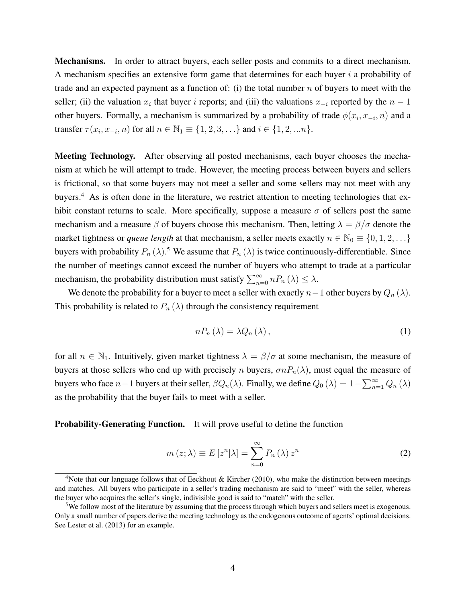Mechanisms. In order to attract buyers, each seller posts and commits to a direct mechanism. A mechanism specifies an extensive form game that determines for each buyer  $i$  a probability of trade and an expected payment as a function of: (i) the total number  $n$  of buyers to meet with the seller; (ii) the valuation  $x_i$  that buyer i reports; and (iii) the valuations  $x_{-i}$  reported by the  $n-1$ other buyers. Formally, a mechanism is summarized by a probability of trade  $\phi(x_i, x_{-i}, n)$  and a transfer  $\tau(x_i, x_{-i}, n)$  for all  $n \in \mathbb{N}_1 \equiv \{1, 2, 3, \ldots\}$  and  $i \in \{1, 2, \ldots n\}.$ 

Meeting Technology. After observing all posted mechanisms, each buyer chooses the mechanism at which he will attempt to trade. However, the meeting process between buyers and sellers is frictional, so that some buyers may not meet a seller and some sellers may not meet with any buyers.<sup>4</sup> As is often done in the literature, we restrict attention to meeting technologies that exhibit constant returns to scale. More specifically, suppose a measure  $\sigma$  of sellers post the same mechanism and a measure  $\beta$  of buyers choose this mechanism. Then, letting  $\lambda = \beta/\sigma$  denote the market tightness or *queue length* at that mechanism, a seller meets exactly  $n \in \mathbb{N}_0 \equiv \{0, 1, 2, \ldots\}$ buyers with probability  $P_n(\lambda)$ .<sup>5</sup> We assume that  $P_n(\lambda)$  is twice continuously-differentiable. Since the number of meetings cannot exceed the number of buyers who attempt to trade at a particular mechanism, the probability distribution must satisfy  $\sum_{n=0}^{\infty} n P_n(\lambda) \leq \lambda$ .

We denote the probability for a buyer to meet a seller with exactly  $n-1$  other buyers by  $Q_n(\lambda)$ . This probability is related to  $P_n(\lambda)$  through the consistency requirement

$$
nP_n(\lambda) = \lambda Q_n(\lambda),\tag{1}
$$

for all  $n \in \mathbb{N}_1$ . Intuitively, given market tightness  $\lambda = \beta/\sigma$  at some mechanism, the measure of buyers at those sellers who end up with precisely n buyers,  $\sigma n P_n(\lambda)$ , must equal the measure of buyers who face  $n-1$  buyers at their seller,  $\beta Q_n(\lambda)$ . Finally, we define  $Q_0(\lambda) = 1 - \sum_{n=1}^{\infty} Q_n(\lambda)$ as the probability that the buyer fails to meet with a seller.

#### Probability-Generating Function. It will prove useful to define the function

$$
m(z; \lambda) \equiv E[z^n | \lambda] = \sum_{n=0}^{\infty} P_n(\lambda) z^n
$$
 (2)

<sup>&</sup>lt;sup>4</sup>Note that our language follows that of Eeckhout & Kircher (2010), who make the distinction between meetings and matches. All buyers who participate in a seller's trading mechanism are said to "meet" with the seller, whereas the buyer who acquires the seller's single, indivisible good is said to "match" with the seller.

<sup>&</sup>lt;sup>5</sup>We follow most of the literature by assuming that the process through which buyers and sellers meet is exogenous. Only a small number of papers derive the meeting technology as the endogenous outcome of agents' optimal decisions. See Lester et al. (2013) for an example.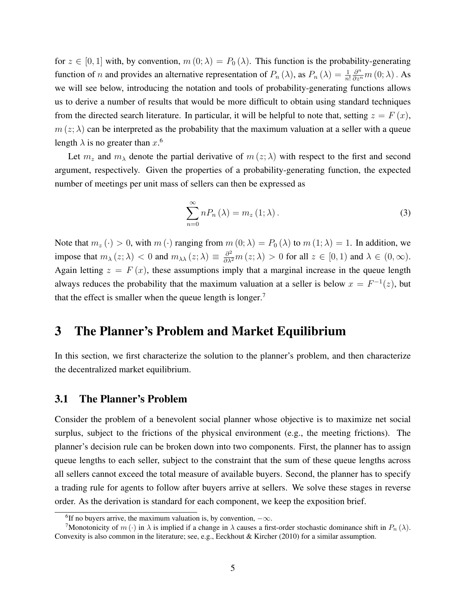for  $z \in [0,1]$  with, by convention,  $m(0;\lambda) = P_0(\lambda)$ . This function is the probability-generating function of *n* and provides an alternative representation of  $P_n(\lambda)$ , as  $P_n(\lambda) = \frac{1}{n!}$  $\frac{\partial^n}{\partial z^n} m(0;\lambda)$  . As we will see below, introducing the notation and tools of probability-generating functions allows us to derive a number of results that would be more difficult to obtain using standard techniques from the directed search literature. In particular, it will be helpful to note that, setting  $z = F(x)$ ,  $m(z; \lambda)$  can be interpreted as the probability that the maximum valuation at a seller with a queue length  $\lambda$  is no greater than  $x$ .<sup>6</sup>

Let  $m_z$  and  $m_\lambda$  denote the partial derivative of  $m(z; \lambda)$  with respect to the first and second argument, respectively. Given the properties of a probability-generating function, the expected number of meetings per unit mass of sellers can then be expressed as

$$
\sum_{n=0}^{\infty} n P_n(\lambda) = m_z(1; \lambda).
$$
 (3)

Note that  $m_z(\cdot) > 0$ , with  $m(\cdot)$  ranging from  $m(0; \lambda) = P_0(\lambda)$  to  $m(1; \lambda) = 1$ . In addition, we impose that  $m_{\lambda}(z; \lambda) < 0$  and  $m_{\lambda \lambda}(z; \lambda) \equiv \frac{\partial^2}{\partial \lambda^2} m(z; \lambda) > 0$  for all  $z \in [0, 1)$  and  $\lambda \in (0, \infty)$ . Again letting  $z = F(x)$ , these assumptions imply that a marginal increase in the queue length always reduces the probability that the maximum valuation at a seller is below  $x = F^{-1}(z)$ , but that the effect is smaller when the queue length is longer.<sup>7</sup>

### 3 The Planner's Problem and Market Equilibrium

In this section, we first characterize the solution to the planner's problem, and then characterize the decentralized market equilibrium.

### 3.1 The Planner's Problem

Consider the problem of a benevolent social planner whose objective is to maximize net social surplus, subject to the frictions of the physical environment (e.g., the meeting frictions). The planner's decision rule can be broken down into two components. First, the planner has to assign queue lengths to each seller, subject to the constraint that the sum of these queue lengths across all sellers cannot exceed the total measure of available buyers. Second, the planner has to specify a trading rule for agents to follow after buyers arrive at sellers. We solve these stages in reverse order. As the derivation is standard for each component, we keep the exposition brief.

<sup>&</sup>lt;sup>6</sup>If no buyers arrive, the maximum valuation is, by convention,  $-\infty$ .

<sup>&</sup>lt;sup>7</sup>Monotonicity of m (·) in  $\lambda$  is implied if a change in  $\lambda$  causes a first-order stochastic dominance shift in  $P_n(\lambda)$ . Convexity is also common in the literature; see, e.g., Eeckhout & Kircher (2010) for a similar assumption.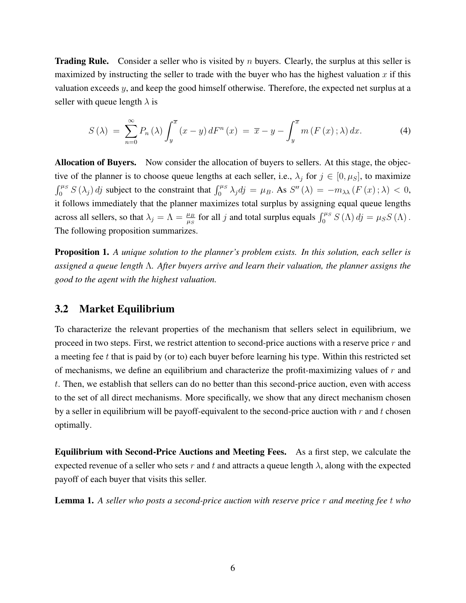**Trading Rule.** Consider a seller who is visited by n buyers. Clearly, the surplus at this seller is maximized by instructing the seller to trade with the buyer who has the highest valuation  $x$  if this valuation exceeds y, and keep the good himself otherwise. Therefore, the expected net surplus at a seller with queue length  $\lambda$  is

$$
S\left(\lambda\right) \ = \ \sum_{n=0}^{\infty} P_n\left(\lambda\right) \int_y^{\overline{x}} \left(x-y\right) dF^n\left(x\right) \ = \ \overline{x} - y - \int_y^{\overline{x}} m\left(F\left(x\right); \lambda\right) dx. \tag{4}
$$

Allocation of Buyers. Now consider the allocation of buyers to sellers. At this stage, the objective of the planner is to choose queue lengths at each seller, i.e.,  $\lambda_i$  for  $j \in [0, \mu_S]$ , to maximize  $\int_0^{\mu_S} S(\lambda_j) dy$  subject to the constraint that  $\int_0^{\mu_S} \lambda_j dy = \mu_B$ . As  $S''(\lambda) = -m_{\lambda\lambda} (F(x); \lambda) < 0$ , it follows immediately that the planner maximizes total surplus by assigning equal queue lengths across all sellers, so that  $\lambda_j = \Lambda = \frac{\mu_B}{\mu_S}$  for all j and total surplus equals  $\int_0^{\mu_S} S(\Lambda) d j = \mu_S S(\Lambda)$ . The following proposition summarizes.

Proposition 1. *A unique solution to the planner's problem exists. In this solution, each seller is assigned a queue length* Λ*. After buyers arrive and learn their valuation, the planner assigns the good to the agent with the highest valuation.*

### 3.2 Market Equilibrium

To characterize the relevant properties of the mechanism that sellers select in equilibrium, we proceed in two steps. First, we restrict attention to second-price auctions with a reserve price  $r$  and a meeting fee t that is paid by (or to) each buyer before learning his type. Within this restricted set of mechanisms, we define an equilibrium and characterize the profit-maximizing values of  $r$  and t. Then, we establish that sellers can do no better than this second-price auction, even with access to the set of all direct mechanisms. More specifically, we show that any direct mechanism chosen by a seller in equilibrium will be payoff-equivalent to the second-price auction with  $r$  and  $t$  chosen optimally.

Equilibrium with Second-Price Auctions and Meeting Fees. As a first step, we calculate the expected revenue of a seller who sets r and t and attracts a queue length  $\lambda$ , along with the expected payoff of each buyer that visits this seller.

Lemma 1. *A seller who posts a second-price auction with reserve price* r *and meeting fee* t *who*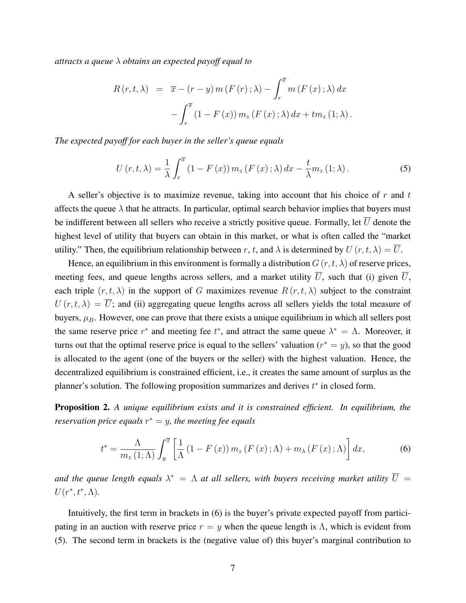*attracts a queue* λ *obtains an expected payoff equal to*

$$
R(r,t,\lambda) = \overline{x} - (r-y) m(F(r);\lambda) - \int_r^{\overline{x}} m(F(x);\lambda) dx
$$

$$
- \int_r^{\overline{x}} (1 - F(x)) m_z(F(x);\lambda) dx + t m_z(1;\lambda).
$$

*The expected payoff for each buyer in the seller's queue equals*

$$
U(r,t,\lambda) = \frac{1}{\lambda} \int_{r}^{\overline{x}} (1 - F(x)) m_{z} \left( F(x); \lambda \right) dx - \frac{t}{\lambda} m_{z} \left( 1; \lambda \right). \tag{5}
$$

A seller's objective is to maximize revenue, taking into account that his choice of  $r$  and  $t$ affects the queue  $\lambda$  that he attracts. In particular, optimal search behavior implies that buyers must be indifferent between all sellers who receive a strictly positive queue. Formally, let  $\overline{U}$  denote the highest level of utility that buyers can obtain in this market, or what is often called the "market utility." Then, the equilibrium relationship between r, t, and  $\lambda$  is determined by  $U(r, t, \lambda) = \overline{U}$ .

Hence, an equilibrium in this environment is formally a distribution  $G(r, t, \lambda)$  of reserve prices, meeting fees, and queue lengths across sellers, and a market utility  $\overline{U}$ , such that (i) given  $\overline{U}$ , each triple  $(r, t, \lambda)$  in the support of G maximizes revenue  $R(r, t, \lambda)$  subject to the constraint  $U(r, t, \lambda) = \overline{U}$ ; and (ii) aggregating queue lengths across all sellers yields the total measure of buyers,  $\mu_B$ . However, one can prove that there exists a unique equilibrium in which all sellers post the same reserve price  $r^*$  and meeting fee  $t^*$ , and attract the same queue  $\lambda^* = \Lambda$ . Moreover, it turns out that the optimal reserve price is equal to the sellers' valuation  $(r^* = y)$ , so that the good is allocated to the agent (one of the buyers or the seller) with the highest valuation. Hence, the decentralized equilibrium is constrained efficient, i.e., it creates the same amount of surplus as the planner's solution. The following proposition summarizes and derives  $t^*$  in closed form.

Proposition 2. *A unique equilibrium exists and it is constrained efficient. In equilibrium, the reservation price equals* r <sup>∗</sup> = y*, the meeting fee equals*

$$
t^* = \frac{\Lambda}{m_z(1;\Lambda)} \int_y^{\overline{x}} \left[ \frac{1}{\Lambda} \left( 1 - F\left(x\right) \right) m_z \left( F\left(x\right); \Lambda \right) + m_\lambda \left( F\left(x\right); \Lambda \right) \right] dx, \tag{6}
$$

and the queue length equals  $\lambda^*$  =  $\Lambda$  at all sellers, with buyers receiving market utility  $\overline{U}$  =  $U(r^*, t^*, \Lambda)$ .

Intuitively, the first term in brackets in (6) is the buyer's private expected payoff from participating in an auction with reserve price  $r = y$  when the queue length is  $\Lambda$ , which is evident from (5). The second term in brackets is the (negative value of) this buyer's marginal contribution to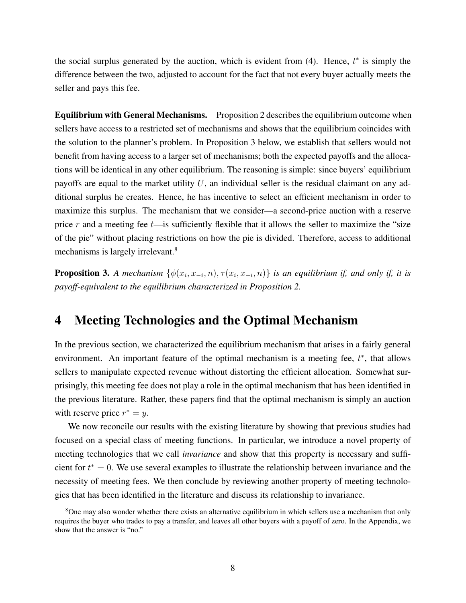the social surplus generated by the auction, which is evident from  $(4)$ . Hence,  $t^*$  is simply the difference between the two, adjusted to account for the fact that not every buyer actually meets the seller and pays this fee.

Equilibrium with General Mechanisms. Proposition 2 describes the equilibrium outcome when sellers have access to a restricted set of mechanisms and shows that the equilibrium coincides with the solution to the planner's problem. In Proposition 3 below, we establish that sellers would not benefit from having access to a larger set of mechanisms; both the expected payoffs and the allocations will be identical in any other equilibrium. The reasoning is simple: since buyers' equilibrium payoffs are equal to the market utility  $\overline{U}$ , an individual seller is the residual claimant on any additional surplus he creates. Hence, he has incentive to select an efficient mechanism in order to maximize this surplus. The mechanism that we consider—a second-price auction with a reserve price r and a meeting fee  $t$ —is sufficiently flexible that it allows the seller to maximize the "size" of the pie" without placing restrictions on how the pie is divided. Therefore, access to additional mechanisms is largely irrelevant.<sup>8</sup>

**Proposition 3.** A mechanism  $\{\phi(x_i, x_{-i}, n), \tau(x_i, x_{-i}, n)\}$  is an equilibrium if, and only if, it is *payoff-equivalent to the equilibrium characterized in Proposition 2.*

## 4 Meeting Technologies and the Optimal Mechanism

In the previous section, we characterized the equilibrium mechanism that arises in a fairly general environment. An important feature of the optimal mechanism is a meeting fee,  $t^*$ , that allows sellers to manipulate expected revenue without distorting the efficient allocation. Somewhat surprisingly, this meeting fee does not play a role in the optimal mechanism that has been identified in the previous literature. Rather, these papers find that the optimal mechanism is simply an auction with reserve price  $r^* = y$ .

We now reconcile our results with the existing literature by showing that previous studies had focused on a special class of meeting functions. In particular, we introduce a novel property of meeting technologies that we call *invariance* and show that this property is necessary and sufficient for  $t^* = 0$ . We use several examples to illustrate the relationship between invariance and the necessity of meeting fees. We then conclude by reviewing another property of meeting technologies that has been identified in the literature and discuss its relationship to invariance.

<sup>&</sup>lt;sup>8</sup>One may also wonder whether there exists an alternative equilibrium in which sellers use a mechanism that only requires the buyer who trades to pay a transfer, and leaves all other buyers with a payoff of zero. In the Appendix, we show that the answer is "no."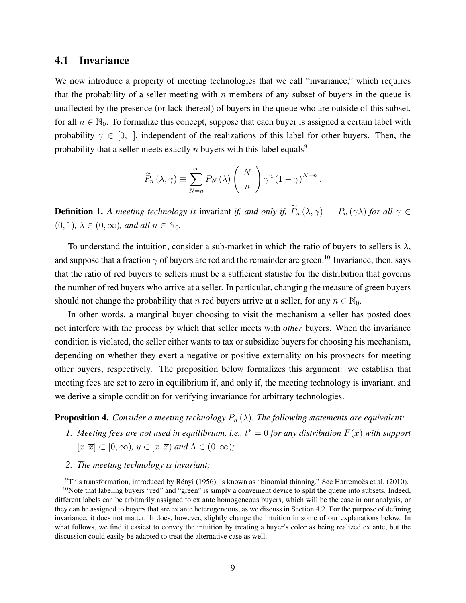### 4.1 Invariance

We now introduce a property of meeting technologies that we call "invariance," which requires that the probability of a seller meeting with n members of any subset of buyers in the queue is unaffected by the presence (or lack thereof) of buyers in the queue who are outside of this subset, for all  $n \in \mathbb{N}_0$ . To formalize this concept, suppose that each buyer is assigned a certain label with probability  $\gamma \in [0, 1]$ , independent of the realizations of this label for other buyers. Then, the probability that a seller meets exactly n buyers with this label equals<sup>9</sup>

$$
\widetilde{P}_n(\lambda, \gamma) \equiv \sum_{N=n}^{\infty} P_N(\lambda) \left( \begin{array}{c} N \\ n \end{array} \right) \gamma^n (1 - \gamma)^{N-n}.
$$

**Definition 1.** *A meeting technology is invariant if, and only if,*  $\widetilde{P}_n(\lambda, \gamma) = P_n(\gamma \lambda)$  *for all*  $\gamma \in$  $(0, 1)$ *,*  $\lambda \in (0, \infty)$ *, and all*  $n \in \mathbb{N}_0$ *.* 

To understand the intuition, consider a sub-market in which the ratio of buyers to sellers is  $\lambda$ , and suppose that a fraction  $\gamma$  of buyers are red and the remainder are green.<sup>10</sup> Invariance, then, says that the ratio of red buyers to sellers must be a sufficient statistic for the distribution that governs the number of red buyers who arrive at a seller. In particular, changing the measure of green buyers should not change the probability that n red buyers arrive at a seller, for any  $n \in \mathbb{N}_0$ .

In other words, a marginal buyer choosing to visit the mechanism a seller has posted does not interfere with the process by which that seller meets with *other* buyers. When the invariance condition is violated, the seller either wants to tax or subsidize buyers for choosing his mechanism, depending on whether they exert a negative or positive externality on his prospects for meeting other buyers, respectively. The proposition below formalizes this argument: we establish that meeting fees are set to zero in equilibrium if, and only if, the meeting technology is invariant, and we derive a simple condition for verifying invariance for arbitrary technologies.

#### **Proposition 4.** *Consider a meeting technology*  $P_n(\lambda)$ *. The following statements are equivalent:*

- 1. Meeting fees are not used in equilibrium, i.e.,  $t^* = 0$  for any distribution  $F(x)$  with support  $[x, \overline{x}] \subset [0, \infty), y \in [x, \overline{x})$  *and*  $\Lambda \in (0, \infty)$ *;*
- *2. The meeting technology is invariant;*

<sup>&</sup>lt;sup>9</sup>This transformation, introduced by Rényi (1956), is known as "binomial thinning." See Harremoës et al. (2010).

 $10$ Note that labeling buyers "red" and "green" is simply a convenient device to split the queue into subsets. Indeed, different labels can be arbitrarily assigned to ex ante homogeneous buyers, which will be the case in our analysis, or they can be assigned to buyers that are ex ante heterogeneous, as we discuss in Section 4.2. For the purpose of defining invariance, it does not matter. It does, however, slightly change the intuition in some of our explanations below. In what follows, we find it easiest to convey the intuition by treating a buyer's color as being realized ex ante, but the discussion could easily be adapted to treat the alternative case as well.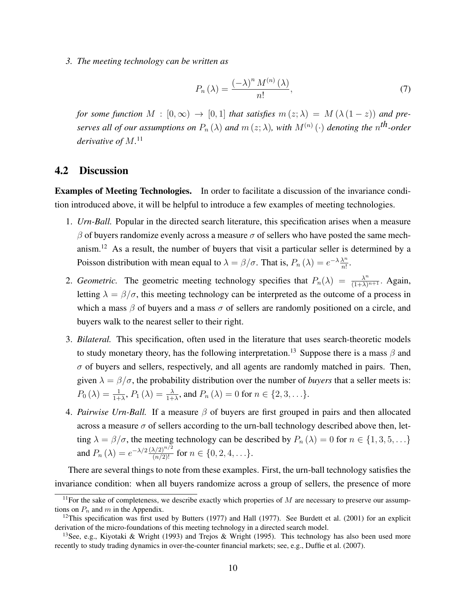*3. The meeting technology can be written as*

$$
P_n\left(\lambda\right) = \frac{\left(-\lambda\right)^n M^{(n)}\left(\lambda\right)}{n!},\tag{7}
$$

*for some function*  $M : [0, \infty) \to [0, 1]$  *that satisfies*  $m(z; \lambda) = M(\lambda(1-z))$  *and preserves all of our assumptions on*  $P_n(\lambda)$  *and*  $m(z; \lambda)$ , with  $M^{(n)}(\cdot)$  *denoting the*  $n^{th}$ -order *derivative of* M*.* 11

### 4.2 Discussion

Examples of Meeting Technologies. In order to facilitate a discussion of the invariance condition introduced above, it will be helpful to introduce a few examples of meeting technologies.

- 1. *Urn-Ball.* Popular in the directed search literature, this specification arises when a measure  $\beta$  of buyers randomize evenly across a measure  $\sigma$  of sellers who have posted the same mechanism.<sup>12</sup> As a result, the number of buyers that visit a particular seller is determined by a Poisson distribution with mean equal to  $\lambda = \beta/\sigma$ . That is,  $P_n(\lambda) = e^{-\lambda} \frac{\lambda^n}{n!}$  $\frac{\lambda^n}{n!}$ .
- 2. *Geometric*. The geometric meeting technology specifies that  $P_n(\lambda) = \frac{\lambda^n}{(1+\lambda)^{n+1}}$ . Again, letting  $\lambda = \beta/\sigma$ , this meeting technology can be interpreted as the outcome of a process in which a mass  $\beta$  of buyers and a mass  $\sigma$  of sellers are randomly positioned on a circle, and buyers walk to the nearest seller to their right.
- 3. *Bilateral.* This specification, often used in the literature that uses search-theoretic models to study monetary theory, has the following interpretation.<sup>13</sup> Suppose there is a mass  $\beta$  and  $\sigma$  of buyers and sellers, respectively, and all agents are randomly matched in pairs. Then, given  $\lambda = \beta/\sigma$ , the probability distribution over the number of *buyers* that a seller meets is:  $P_0(\lambda) = \frac{1}{1+\lambda}, P_1(\lambda) = \frac{\lambda}{1+\lambda}, \text{ and } P_n(\lambda) = 0 \text{ for } n \in \{2, 3, \ldots\}.$
- 4. *Pairwise Urn-Ball.* If a measure β of buyers are first grouped in pairs and then allocated across a measure  $\sigma$  of sellers according to the urn-ball technology described above then, letting  $\lambda = \beta/\sigma$ , the meeting technology can be described by  $P_n(\lambda) = 0$  for  $n \in \{1, 3, 5, \ldots\}$ and  $P_n(\lambda) = e^{-\lambda/2} \frac{(\lambda/2)^{n/2}}{(n/2)!}$  for  $n \in \{0, 2, 4, \ldots\}.$

There are several things to note from these examples. First, the urn-ball technology satisfies the invariance condition: when all buyers randomize across a group of sellers, the presence of more

<sup>&</sup>lt;sup>11</sup>For the sake of completeness, we describe exactly which properties of M are necessary to preserve our assumptions on  $P_n$  and m in the Appendix.

<sup>&</sup>lt;sup>12</sup>This specification was first used by Butters (1977) and Hall (1977). See Burdett et al. (2001) for an explicit derivation of the micro-foundations of this meeting technology in a directed search model.

<sup>&</sup>lt;sup>13</sup>See, e.g., Kiyotaki & Wright (1993) and Trejos & Wright (1995). This technology has also been used more recently to study trading dynamics in over-the-counter financial markets; see, e.g., Duffie et al. (2007).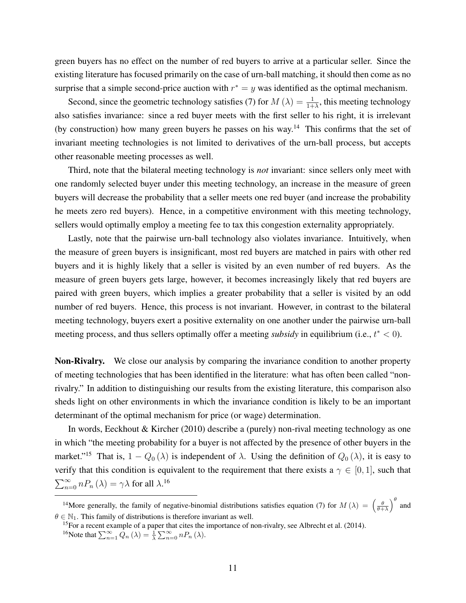green buyers has no effect on the number of red buyers to arrive at a particular seller. Since the existing literature has focused primarily on the case of urn-ball matching, it should then come as no surprise that a simple second-price auction with  $r^* = y$  was identified as the optimal mechanism.

Second, since the geometric technology satisfies (7) for  $M(\lambda) = \frac{1}{1+\lambda}$ , this meeting technology also satisfies invariance: since a red buyer meets with the first seller to his right, it is irrelevant (by construction) how many green buyers he passes on his way.<sup>14</sup> This confirms that the set of invariant meeting technologies is not limited to derivatives of the urn-ball process, but accepts other reasonable meeting processes as well.

Third, note that the bilateral meeting technology is *not* invariant: since sellers only meet with one randomly selected buyer under this meeting technology, an increase in the measure of green buyers will decrease the probability that a seller meets one red buyer (and increase the probability he meets zero red buyers). Hence, in a competitive environment with this meeting technology, sellers would optimally employ a meeting fee to tax this congestion externality appropriately.

Lastly, note that the pairwise urn-ball technology also violates invariance. Intuitively, when the measure of green buyers is insignificant, most red buyers are matched in pairs with other red buyers and it is highly likely that a seller is visited by an even number of red buyers. As the measure of green buyers gets large, however, it becomes increasingly likely that red buyers are paired with green buyers, which implies a greater probability that a seller is visited by an odd number of red buyers. Hence, this process is not invariant. However, in contrast to the bilateral meeting technology, buyers exert a positive externality on one another under the pairwise urn-ball meeting process, and thus sellers optimally offer a meeting *subsidy* in equilibrium (i.e.,  $t^* < 0$ ).

Non-Rivalry. We close our analysis by comparing the invariance condition to another property of meeting technologies that has been identified in the literature: what has often been called "nonrivalry." In addition to distinguishing our results from the existing literature, this comparison also sheds light on other environments in which the invariance condition is likely to be an important determinant of the optimal mechanism for price (or wage) determination.

In words, Eeckhout & Kircher (2010) describe a (purely) non-rival meeting technology as one in which "the meeting probability for a buyer is not affected by the presence of other buyers in the market."<sup>15</sup> That is,  $1 - Q_0(\lambda)$  is independent of  $\lambda$ . Using the definition of  $Q_0(\lambda)$ , it is easy to verify that this condition is equivalent to the requirement that there exists a  $\gamma \in [0,1]$ , such that  $\sum_{n=0}^{\infty} n P_n(\lambda) = \gamma \lambda$  for all  $\lambda$ .<sup>16</sup>

<sup>&</sup>lt;sup>14</sup>More generally, the family of negative-binomial distributions satisfies equation (7) for  $M(\lambda) = \left(\frac{\theta}{\theta + \lambda}\right)^{\theta}$  and  $\theta \in \mathbb{N}_1$ . This family of distributions is therefore invariant as well.

<sup>&</sup>lt;sup>15</sup>For a recent example of a paper that cites the importance of non-rivalry, see Albrecht et al. (2014). <sup>16</sup>Note that  $\sum_{n=1}^{\infty} Q_n(\lambda) = \frac{1}{\lambda} \sum_{n=0}^{\infty} n P_n(\lambda)$ .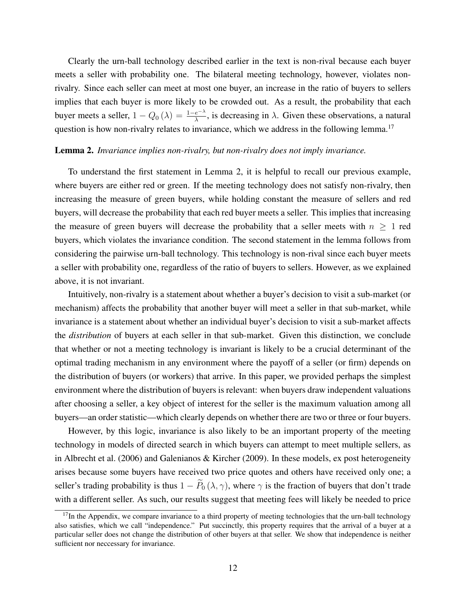Clearly the urn-ball technology described earlier in the text is non-rival because each buyer meets a seller with probability one. The bilateral meeting technology, however, violates nonrivalry. Since each seller can meet at most one buyer, an increase in the ratio of buyers to sellers implies that each buyer is more likely to be crowded out. As a result, the probability that each buyer meets a seller,  $1 - Q_0(\lambda) = \frac{1 - e^{-\lambda}}{\lambda}$ , is decreasing in  $\lambda$ . Given these observations, a natural question is how non-rivalry relates to invariance, which we address in the following lemma.<sup>17</sup>

#### Lemma 2. *Invariance implies non-rivalry, but non-rivalry does not imply invariance.*

To understand the first statement in Lemma 2, it is helpful to recall our previous example, where buyers are either red or green. If the meeting technology does not satisfy non-rivalry, then increasing the measure of green buyers, while holding constant the measure of sellers and red buyers, will decrease the probability that each red buyer meets a seller. This implies that increasing the measure of green buyers will decrease the probability that a seller meets with  $n > 1$  red buyers, which violates the invariance condition. The second statement in the lemma follows from considering the pairwise urn-ball technology. This technology is non-rival since each buyer meets a seller with probability one, regardless of the ratio of buyers to sellers. However, as we explained above, it is not invariant.

Intuitively, non-rivalry is a statement about whether a buyer's decision to visit a sub-market (or mechanism) affects the probability that another buyer will meet a seller in that sub-market, while invariance is a statement about whether an individual buyer's decision to visit a sub-market affects the *distribution* of buyers at each seller in that sub-market. Given this distinction, we conclude that whether or not a meeting technology is invariant is likely to be a crucial determinant of the optimal trading mechanism in any environment where the payoff of a seller (or firm) depends on the distribution of buyers (or workers) that arrive. In this paper, we provided perhaps the simplest environment where the distribution of buyers is relevant: when buyers draw independent valuations after choosing a seller, a key object of interest for the seller is the maximum valuation among all buyers—an order statistic—which clearly depends on whether there are two or three or four buyers.

However, by this logic, invariance is also likely to be an important property of the meeting technology in models of directed search in which buyers can attempt to meet multiple sellers, as in Albrecht et al. (2006) and Galenianos & Kircher (2009). In these models, ex post heterogeneity arises because some buyers have received two price quotes and others have received only one; a seller's trading probability is thus  $1 - \widetilde{P}_0(\lambda, \gamma)$ , where  $\gamma$  is the fraction of buyers that don't trade with a different seller. As such, our results suggest that meeting fees will likely be needed to price

 $17$ In the Appendix, we compare invariance to a third property of meeting technologies that the urn-ball technology also satisfies, which we call "independence." Put succinctly, this property requires that the arrival of a buyer at a particular seller does not change the distribution of other buyers at that seller. We show that independence is neither sufficient nor neccessary for invariance.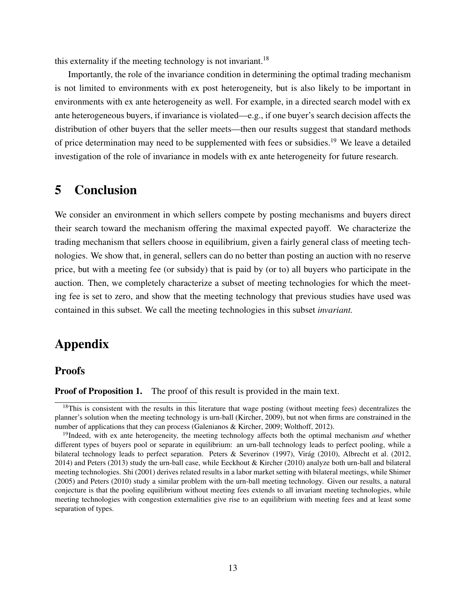this externality if the meeting technology is not invariant.<sup>18</sup>

Importantly, the role of the invariance condition in determining the optimal trading mechanism is not limited to environments with ex post heterogeneity, but is also likely to be important in environments with ex ante heterogeneity as well. For example, in a directed search model with ex ante heterogeneous buyers, if invariance is violated—e.g., if one buyer's search decision affects the distribution of other buyers that the seller meets—then our results suggest that standard methods of price determination may need to be supplemented with fees or subsidies.<sup>19</sup> We leave a detailed investigation of the role of invariance in models with ex ante heterogeneity for future research.

# 5 Conclusion

We consider an environment in which sellers compete by posting mechanisms and buyers direct their search toward the mechanism offering the maximal expected payoff. We characterize the trading mechanism that sellers choose in equilibrium, given a fairly general class of meeting technologies. We show that, in general, sellers can do no better than posting an auction with no reserve price, but with a meeting fee (or subsidy) that is paid by (or to) all buyers who participate in the auction. Then, we completely characterize a subset of meeting technologies for which the meeting fee is set to zero, and show that the meeting technology that previous studies have used was contained in this subset. We call the meeting technologies in this subset *invariant.*

# Appendix

### **Proofs**

**Proof of Proposition 1.** The proof of this result is provided in the main text.

 $18$ This is consistent with the results in this literature that wage posting (without meeting fees) decentralizes the planner's solution when the meeting technology is urn-ball (Kircher, 2009), but not when firms are constrained in the number of applications that they can process (Galenianos & Kircher, 2009; Wolthoff, 2012).

<sup>&</sup>lt;sup>19</sup>Indeed, with ex ante heterogeneity, the meeting technology affects both the optimal mechanism *and* whether different types of buyers pool or separate in equilibrium: an urn-ball technology leads to perfect pooling, while a bilateral technology leads to perfect separation. Peters & Severinov (1997), Virág (2010), Albrecht et al. (2012, 2014) and Peters (2013) study the urn-ball case, while Eeckhout & Kircher (2010) analyze both urn-ball and bilateral meeting technologies. Shi (2001) derives related results in a labor market setting with bilateral meetings, while Shimer (2005) and Peters (2010) study a similar problem with the urn-ball meeting technology. Given our results, a natural conjecture is that the pooling equilibrium without meeting fees extends to all invariant meeting technologies, while meeting technologies with congestion externalities give rise to an equilibrium with meeting fees and at least some separation of types.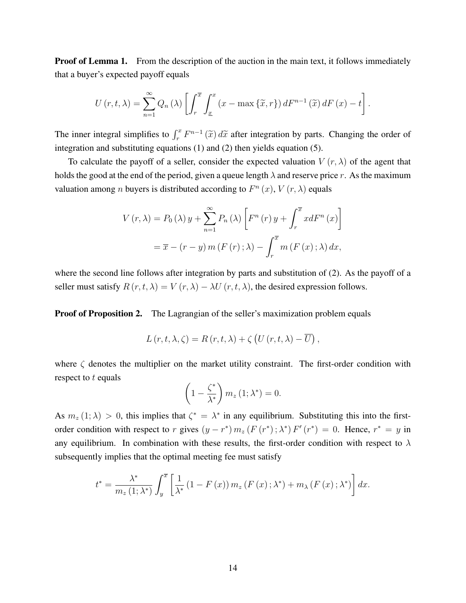**Proof of Lemma 1.** From the description of the auction in the main text, it follows immediately that a buyer's expected payoff equals

$$
U(r,t,\lambda) = \sum_{n=1}^{\infty} Q_n(\lambda) \left[ \int_r^{\overline{x}} \int_{\underline{x}}^x (x - \max{\{\widetilde{x},r\}}) dF^{n-1}(\widetilde{x}) dF(x) - t \right].
$$

The inner integral simplifies to  $\int_r^x F^{n-1}(\tilde{x}) d\tilde{x}$  after integration by parts. Changing the order of integration and substituting equations (1) and (2) then yields equation (5).

To calculate the payoff of a seller, consider the expected valuation  $V(r, \lambda)$  of the agent that holds the good at the end of the period, given a queue length  $\lambda$  and reserve price r. As the maximum valuation among *n* buyers is distributed according to  $F^n(x)$ ,  $V(r, \lambda)$  equals

$$
V(r,\lambda) = P_0(\lambda) y + \sum_{n=1}^{\infty} P_n(\lambda) \left[ F^n(r) y + \int_r^{\overline{x}} x dF^n(x) \right]
$$
  
=  $\overline{x} - (r - y) m(F(r); \lambda) - \int_r^{\overline{x}} m(F(x); \lambda) dx,$ 

where the second line follows after integration by parts and substitution of (2). As the payoff of a seller must satisfy  $R(r, t, \lambda) = V(r, \lambda) - \lambda U(r, t, \lambda)$ , the desired expression follows.

Proof of Proposition 2. The Lagrangian of the seller's maximization problem equals

$$
L(r,t,\lambda,\zeta) = R(r,t,\lambda) + \zeta \left( U(r,t,\lambda) - \overline{U} \right),
$$

where  $\zeta$  denotes the multiplier on the market utility constraint. The first-order condition with respect to  $t$  equals

$$
\left(1 - \frac{\zeta^*}{\lambda^*}\right) m_z(1; \lambda^*) = 0.
$$

As  $m_z(1; \lambda) > 0$ , this implies that  $\zeta^* = \lambda^*$  in any equilibrium. Substituting this into the firstorder condition with respect to r gives  $(y - r^*) m_z (F (r^*) ; \lambda^*) F (r^*) = 0$ . Hence,  $r^* = y$  in any equilibrium. In combination with these results, the first-order condition with respect to  $\lambda$ subsequently implies that the optimal meeting fee must satisfy

$$
t^* = \frac{\lambda^*}{m_z(1;\lambda^*)} \int_y^{\overline{x}} \left[ \frac{1}{\lambda^*} \left(1 - F(x)\right) m_z \left(F(x); \lambda^*\right) + m_\lambda \left(F(x); \lambda^*\right) \right] dx.
$$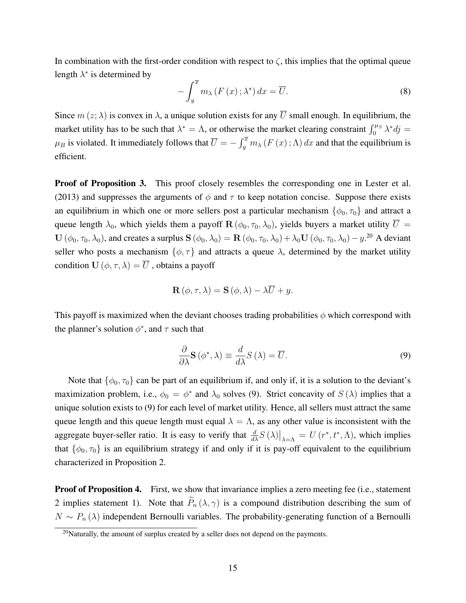In combination with the first-order condition with respect to  $\zeta$ , this implies that the optimal queue length  $\lambda^*$  is determined by

$$
-\int_{y}^{\overline{x}} m_{\lambda}(F(x); \lambda^*) dx = \overline{U}.
$$
 (8)

Since  $m(z; \lambda)$  is convex in  $\lambda$ , a unique solution exists for any  $\overline{U}$  small enough. In equilibrium, the market utility has to be such that  $\lambda^* = \Lambda$ , or otherwise the market clearing constraint  $\int_0^{\mu_S} \lambda^* d j =$  $\mu_B$  is violated. It immediately follows that  $\overline{U} = -\int_y^{\overline{x}} m_\lambda(F(x);\Lambda) dx$  and that the equilibrium is efficient.

Proof of Proposition 3. This proof closely resembles the corresponding one in Lester et al. (2013) and suppresses the arguments of  $\phi$  and  $\tau$  to keep notation concise. Suppose there exists an equilibrium in which one or more sellers post a particular mechanism  $\{\phi_0, \tau_0\}$  and attract a queue length  $\lambda_0$ , which yields them a payoff R ( $\phi_0$ ,  $\tau_0$ ,  $\lambda_0$ ), yields buyers a market utility  $\overline{U}$  =  $\mathbf{U}$   $(\phi_0, \tau_0, \lambda_0)$ , and creates a surplus  $\mathbf{S}$   $(\phi_0, \lambda_0) = \mathbf{R}$   $(\phi_0, \tau_0, \lambda_0) + \lambda_0 \mathbf{U}$   $(\phi_0, \tau_0, \lambda_0) - y$ .<sup>20</sup> A deviant seller who posts a mechanism  $\{\phi, \tau\}$  and attracts a queue  $\lambda$ , determined by the market utility condition  $\mathbf{U}(\phi, \tau, \lambda) = \overline{U}$ , obtains a payoff

$$
\mathbf{R}\left(\phi,\tau,\lambda\right) = \mathbf{S}\left(\phi,\lambda\right) - \lambda\overline{U} + y.
$$

This payoff is maximized when the deviant chooses trading probabilities  $\phi$  which correspond with the planner's solution  $\phi^*$ , and  $\tau$  such that

$$
\frac{\partial}{\partial \lambda} \mathbf{S} \left( \phi^*, \lambda \right) \equiv \frac{d}{d\lambda} S \left( \lambda \right) = \overline{U}.
$$
\n(9)

Note that  $\{\phi_0, \tau_0\}$  can be part of an equilibrium if, and only if, it is a solution to the deviant's maximization problem, i.e.,  $\phi_0 = \phi^*$  and  $\lambda_0$  solves (9). Strict concavity of  $S(\lambda)$  implies that a unique solution exists to (9) for each level of market utility. Hence, all sellers must attract the same queue length and this queue length must equal  $\lambda = \Lambda$ , as any other value is inconsistent with the aggregate buyer-seller ratio. It is easy to verify that  $\frac{d}{d\lambda}S(\lambda)|_{\lambda=\Lambda} = U(r^*, t^*, \Lambda)$ , which implies that  $\{\phi_0, \tau_0\}$  is an equilibrium strategy if and only if it is pay-off equivalent to the equilibrium characterized in Proposition 2.

**Proof of Proposition 4.** First, we show that invariance implies a zero meeting fee (i.e., statement 2 implies statement 1). Note that  $\widetilde{P}_n(\lambda, \gamma)$  is a compound distribution describing the sum of  $N \sim P_n(\lambda)$  independent Bernoulli variables. The probability-generating function of a Bernoulli

 $\frac{20}{20}$ Naturally, the amount of surplus created by a seller does not depend on the payments.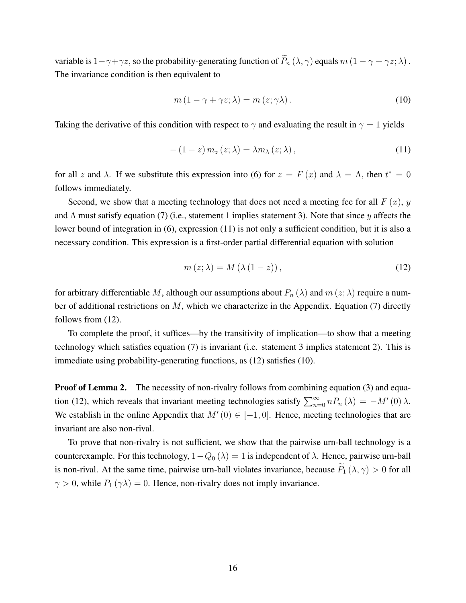variable is  $1-\gamma+\gamma z$ , so the probability-generating function of  $\widetilde{P}_n(\lambda, \gamma)$  equals  $m(1 - \gamma + \gamma z; \lambda)$ . The invariance condition is then equivalent to

$$
m(1 - \gamma + \gamma z; \lambda) = m(z; \gamma \lambda).
$$
 (10)

Taking the derivative of this condition with respect to  $\gamma$  and evaluating the result in  $\gamma = 1$  yields

$$
-(1-z) m_{z}(z; \lambda) = \lambda m_{\lambda}(z; \lambda), \qquad (11)
$$

for all z and  $\lambda$ . If we substitute this expression into (6) for  $z = F(x)$  and  $\lambda = \Lambda$ , then  $t^* = 0$ follows immediately.

Second, we show that a meeting technology that does not need a meeting fee for all  $F(x)$ , y and  $\Lambda$  must satisfy equation (7) (i.e., statement 1 implies statement 3). Note that since y affects the lower bound of integration in (6), expression (11) is not only a sufficient condition, but it is also a necessary condition. This expression is a first-order partial differential equation with solution

$$
m(z; \lambda) = M(\lambda(1-z)), \qquad (12)
$$

for arbitrary differentiable M, although our assumptions about  $P_n(\lambda)$  and  $m(z; \lambda)$  require a number of additional restrictions on  $M$ , which we characterize in the Appendix. Equation (7) directly follows from (12).

To complete the proof, it suffices—by the transitivity of implication—to show that a meeting technology which satisfies equation (7) is invariant (i.e. statement 3 implies statement 2). This is immediate using probability-generating functions, as (12) satisfies (10).

**Proof of Lemma 2.** The necessity of non-rivalry follows from combining equation (3) and equation (12), which reveals that invariant meeting technologies satisfy  $\sum_{n=0}^{\infty} n P_n(\lambda) = -M'(0) \lambda$ . We establish in the online Appendix that  $M'(0) \in [-1, 0]$ . Hence, meeting technologies that are invariant are also non-rival.

To prove that non-rivalry is not sufficient, we show that the pairwise urn-ball technology is a counterexample. For this technology,  $1-Q_0(\lambda) = 1$  is independent of  $\lambda$ . Hence, pairwise urn-ball is non-rival. At the same time, pairwise urn-ball violates invariance, because  $\tilde{P}_1(\lambda, \gamma) > 0$  for all  $\gamma > 0$ , while  $P_1(\gamma \lambda) = 0$ . Hence, non-rivalry does not imply invariance.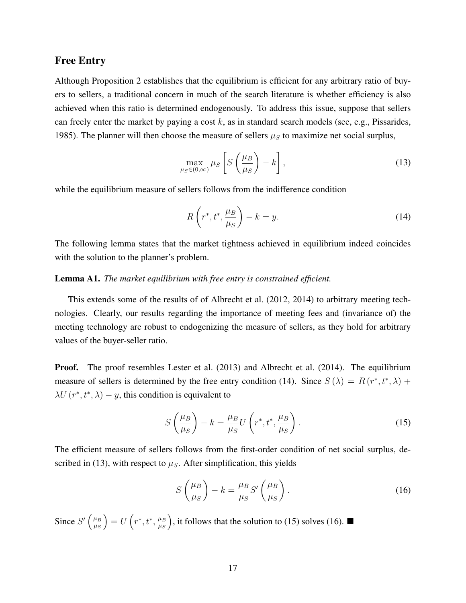### Free Entry

Although Proposition 2 establishes that the equilibrium is efficient for any arbitrary ratio of buyers to sellers, a traditional concern in much of the search literature is whether efficiency is also achieved when this ratio is determined endogenously. To address this issue, suppose that sellers can freely enter the market by paying a cost  $k$ , as in standard search models (see, e.g., Pissarides, 1985). The planner will then choose the measure of sellers  $\mu<sub>S</sub>$  to maximize net social surplus,

$$
\max_{\mu_S \in (0,\infty)} \mu_S \left[ S \left( \frac{\mu_B}{\mu_S} \right) - k \right],\tag{13}
$$

while the equilibrium measure of sellers follows from the indifference condition

$$
R\left(r^*, t^*, \frac{\mu_B}{\mu_S}\right) - k = y.
$$
\n(14)

The following lemma states that the market tightness achieved in equilibrium indeed coincides with the solution to the planner's problem.

#### Lemma A1. *The market equilibrium with free entry is constrained efficient.*

This extends some of the results of of Albrecht et al. (2012, 2014) to arbitrary meeting technologies. Clearly, our results regarding the importance of meeting fees and (invariance of) the meeting technology are robust to endogenizing the measure of sellers, as they hold for arbitrary values of the buyer-seller ratio.

**Proof.** The proof resembles Lester et al. (2013) and Albrecht et al. (2014). The equilibrium measure of sellers is determined by the free entry condition (14). Since  $S(\lambda) = R(r^*, t^*, \lambda) +$  $\lambda U(r^*, t^*, \lambda) - y$ , this condition is equivalent to

$$
S\left(\frac{\mu_B}{\mu_S}\right) - k = \frac{\mu_B}{\mu_S} U\left(r^*, t^*, \frac{\mu_B}{\mu_S}\right). \tag{15}
$$

The efficient measure of sellers follows from the first-order condition of net social surplus, described in (13), with respect to  $\mu<sub>S</sub>$ . After simplification, this yields

$$
S\left(\frac{\mu_B}{\mu_S}\right) - k = \frac{\mu_B}{\mu_S} S'\left(\frac{\mu_B}{\mu_S}\right). \tag{16}
$$

Since  $S'$   $\left(\frac{\mu_B}{\mu_B}\right)$  $\mu_S$  $\Big) = U\left(r^*, t^*, \frac{\mu_B}{\mu_B}\right)$  $\mu_S$ ), it follows that the solution to (15) solves (16).  $\blacksquare$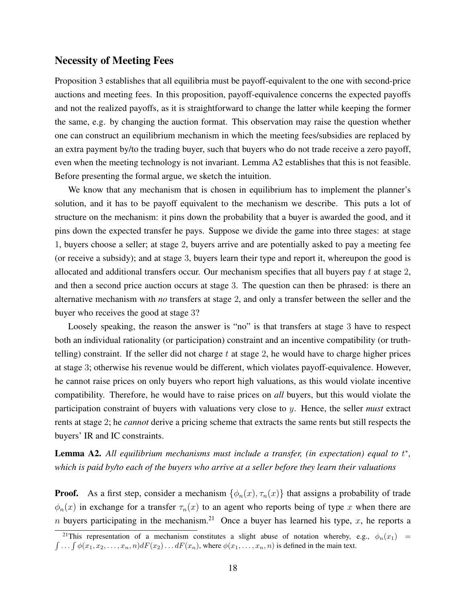### Necessity of Meeting Fees

Proposition 3 establishes that all equilibria must be payoff-equivalent to the one with second-price auctions and meeting fees. In this proposition, payoff-equivalence concerns the expected payoffs and not the realized payoffs, as it is straightforward to change the latter while keeping the former the same, e.g. by changing the auction format. This observation may raise the question whether one can construct an equilibrium mechanism in which the meeting fees/subsidies are replaced by an extra payment by/to the trading buyer, such that buyers who do not trade receive a zero payoff, even when the meeting technology is not invariant. Lemma A2 establishes that this is not feasible. Before presenting the formal argue, we sketch the intuition.

We know that any mechanism that is chosen in equilibrium has to implement the planner's solution, and it has to be payoff equivalent to the mechanism we describe. This puts a lot of structure on the mechanism: it pins down the probability that a buyer is awarded the good, and it pins down the expected transfer he pays. Suppose we divide the game into three stages: at stage 1, buyers choose a seller; at stage 2, buyers arrive and are potentially asked to pay a meeting fee (or receive a subsidy); and at stage 3, buyers learn their type and report it, whereupon the good is allocated and additional transfers occur. Our mechanism specifies that all buyers pay  $t$  at stage  $2$ , and then a second price auction occurs at stage 3. The question can then be phrased: is there an alternative mechanism with *no* transfers at stage 2, and only a transfer between the seller and the buyer who receives the good at stage 3?

Loosely speaking, the reason the answer is "no" is that transfers at stage 3 have to respect both an individual rationality (or participation) constraint and an incentive compatibility (or truthtelling) constraint. If the seller did not charge  $t$  at stage 2, he would have to charge higher prices at stage 3; otherwise his revenue would be different, which violates payoff-equivalence. However, he cannot raise prices on only buyers who report high valuations, as this would violate incentive compatibility. Therefore, he would have to raise prices on *all* buyers, but this would violate the participation constraint of buyers with valuations very close to y. Hence, the seller *must* extract rents at stage 2; he *cannot* derive a pricing scheme that extracts the same rents but still respects the buyers' IR and IC constraints.

**Lemma A2.** All equilibrium mechanisms must include a transfer, (in expectation) equal to  $t^*$ , *which is paid by/to each of the buyers who arrive at a seller before they learn their valuations*

**Proof.** As a first step, consider a mechanism  $\{\phi_n(x), \tau_n(x)\}\$  that assigns a probability of trade  $\phi_n(x)$  in exchange for a transfer  $\tau_n(x)$  to an agent who reports being of type x when there are n buyers participating in the mechanism.<sup>21</sup> Once a buyer has learned his type, x, he reports a

<sup>&</sup>lt;sup>21</sup>This representation of a mechanism constitutes a slight abuse of notation whereby, e.g.,  $\phi_n(x_1)$  =  $\int \ldots \int \phi(x_1, x_2, \ldots, x_n, n) dF(x_2) \ldots dF(x_n)$ , where  $\phi(x_1, \ldots, x_n, n)$  is defined in the main text.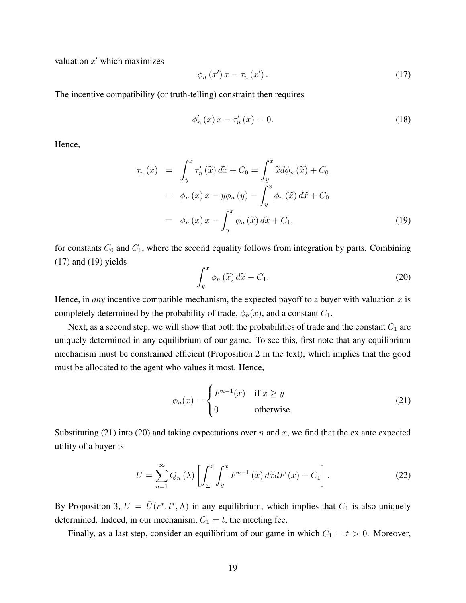valuation  $x'$  which maximizes

$$
\phi_n(x')x - \tau_n(x'). \tag{17}
$$

The incentive compatibility (or truth-telling) constraint then requires

$$
\phi'_{n}(x) x - \tau'_{n}(x) = 0. \tag{18}
$$

Hence,

$$
\tau_n(x) = \int_y^x \tau'_n(\tilde{x}) d\tilde{x} + C_0 = \int_y^x \tilde{x} d\phi_n(\tilde{x}) + C_0
$$

$$
= \phi_n(x) x - y \phi_n(y) - \int_y^x \phi_n(\tilde{x}) d\tilde{x} + C_0
$$

$$
= \phi_n(x) x - \int_y^x \phi_n(\tilde{x}) d\tilde{x} + C_1,
$$
(19)

for constants  $C_0$  and  $C_1$ , where the second equality follows from integration by parts. Combining (17) and (19) yields

$$
\int_{y}^{x} \phi_n\left(\tilde{x}\right) d\tilde{x} - C_1. \tag{20}
$$

Hence, in *any* incentive compatible mechanism, the expected payoff to a buyer with valuation  $x$  is completely determined by the probability of trade,  $\phi_n(x)$ , and a constant  $C_1$ .

Next, as a second step, we will show that both the probabilities of trade and the constant  $C_1$  are uniquely determined in any equilibrium of our game. To see this, first note that any equilibrium mechanism must be constrained efficient (Proposition 2 in the text), which implies that the good must be allocated to the agent who values it most. Hence,

$$
\phi_n(x) = \begin{cases} F^{n-1}(x) & \text{if } x \ge y \\ 0 & \text{otherwise.} \end{cases}
$$
 (21)

Substituting (21) into (20) and taking expectations over n and x, we find that the ex ante expected utility of a buyer is

$$
U = \sum_{n=1}^{\infty} Q_n(\lambda) \left[ \int_{\underline{x}}^{\overline{x}} \int_{y}^{x} F^{n-1}(\widetilde{x}) d\widetilde{x} dF(x) - C_1 \right].
$$
 (22)

By Proposition 3,  $U = \overline{U}(r^*, t^*, \Lambda)$  in any equilibrium, which implies that  $C_1$  is also uniquely determined. Indeed, in our mechanism,  $C_1 = t$ , the meeting fee.

Finally, as a last step, consider an equilibrium of our game in which  $C_1 = t > 0$ . Moreover,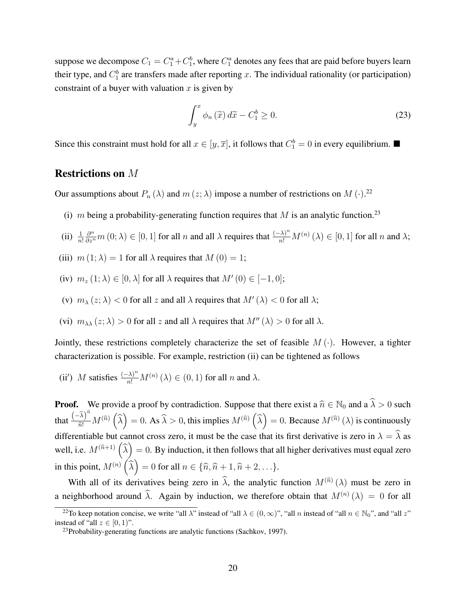suppose we decompose  $C_1 = C_1^a + C_1^b$ , where  $C_1^a$  denotes any fees that are paid before buyers learn their type, and  $C_1^b$  are transfers made after reporting x. The individual rationality (or participation) constraint of a buyer with valuation  $x$  is given by

$$
\int_{y}^{x} \phi_n\left(\tilde{x}\right) d\tilde{x} - C_1^b \ge 0. \tag{23}
$$

Since this constraint must hold for all  $x \in [y, \overline{x}]$ , it follows that  $C_1^b = 0$  in every equilibrium.

### Restrictions on M

Our assumptions about  $P_n(\lambda)$  and  $m(z; \lambda)$  impose a number of restrictions on  $M(\cdot)$ .<sup>22</sup>

- (i) m being a probability-generating function requires that M is an analytic function.<sup>23</sup>
- (ii)  $\frac{1}{n!}$  $\frac{\partial^n}{\partial z^n} m(0;\lambda) \in [0,1]$  for all n and all  $\lambda$  requires that  $\frac{(-\lambda)^n}{n!} M^{(n)}(\lambda) \in [0,1]$  for all n and  $\lambda$ ;
- (iii)  $m(1; \lambda) = 1$  for all  $\lambda$  requires that  $M(0) = 1$ ;
- (iv)  $m_z(1; \lambda) \in [0, \lambda]$  for all  $\lambda$  requires that  $M'(0) \in [-1, 0]$ ;
- (v)  $m_{\lambda}(z; \lambda) < 0$  for all z and all  $\lambda$  requires that  $M'(\lambda) < 0$  for all  $\lambda$ ;
- (vi)  $m_{\lambda\lambda}(z; \lambda) > 0$  for all z and all  $\lambda$  requires that  $M''(\lambda) > 0$  for all  $\lambda$ .

Jointly, these restrictions completely characterize the set of feasible  $M(\cdot)$ . However, a tighter characterization is possible. For example, restriction (ii) can be tightened as follows

(ii') M satisfies  $\frac{(-\lambda)^n}{n!}M^{(n)}(\lambda) \in (0,1)$  for all n and  $\lambda$ .

**Proof.** We provide a proof by contradiction. Suppose that there exist a  $\hat{n} \in N_0$  and a  $\hat{\lambda} > 0$  such that  $\left(\frac{-(\lambda)^{\hat{n}}}{\hat{n}!}M^{(\hat{n})}\left(\widehat{\lambda}\right)=0$ . As  $\widehat{\lambda}>0$ , this implies  $M^{(\hat{n})}\left(\widehat{\lambda}\right)=0$ . Because  $M^{(\hat{n})}(\lambda)$  is continuously differentiable but cannot cross zero, it must be the case that its first derivative is zero in  $\lambda = \hat{\lambda}$  as well, i.e.  $M^{(\hat{n}+1)}(\hat{\lambda}) = 0$ . By induction, it then follows that all higher derivatives must equal zero in this point,  $M^{(n)}(\widehat{\lambda}) = 0$  for all  $n \in {\{\widehat{n}, \widehat{n} + 1, \widehat{n} + 2, \ldots\}}$ .

With all of its derivatives being zero in  $\lambda$ , the analytic function  $M^{(\hat{n})}(\lambda)$  must be zero in a neighborhood around  $\lambda$ . Again by induction, we therefore obtain that  $M^{(n)}(\lambda) = 0$  for all

<sup>&</sup>lt;sup>22</sup>To keep notation concise, we write "all  $\lambda$ " instead of "all  $\lambda \in (0, \infty)$ ", "all n instead of "all  $n \in \mathbb{N}_0$ ", and "all z" instead of "all  $z \in [0, 1)$ ".

<sup>&</sup>lt;sup>23</sup>Probability-generating functions are analytic functions (Sachkov, 1997).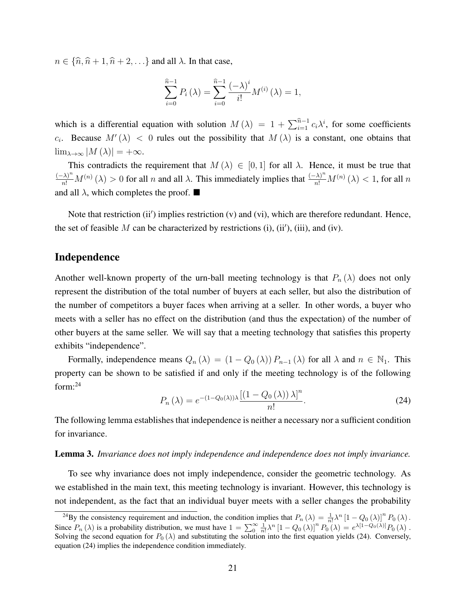$n \in {\hat{n}, \hat{n} + 1, \hat{n} + 2, \ldots}$  and all  $\lambda$ . In that case,

$$
\sum_{i=0}^{\widehat{n}-1} P_i(\lambda) = \sum_{i=0}^{\widehat{n}-1} \frac{(-\lambda)^i}{i!} M^{(i)}(\lambda) = 1,
$$

which is a differential equation with solution  $M(\lambda) = 1 + \sum_{i=1}^{\hat{n}-1} c_i \lambda^i$ , for some coefficients  $c_i$ . Because  $M'(\lambda) < 0$  rules out the possibility that  $M(\lambda)$  is a constant, one obtains that  $\lim_{\lambda \to \infty} |M(\lambda)| = +\infty.$ 

This contradicts the requirement that  $M(\lambda) \in [0,1]$  for all  $\lambda$ . Hence, it must be true that  $\frac{(-\lambda)^n}{n!}M^{(n)}(\lambda) > 0$  for all n and all  $\lambda$ . This immediately implies that  $\frac{(-\lambda)^n}{n!}M^{(n)}(\lambda) < 1$ , for all n and all  $\lambda$ , which completes the proof.  $\blacksquare$ 

Note that restriction (ii') implies restriction (v) and (vi), which are therefore redundant. Hence, the set of feasible  $M$  can be characterized by restrictions (i), (ii'), (iii), and (iv).

### Independence

Another well-known property of the urn-ball meeting technology is that  $P_n(\lambda)$  does not only represent the distribution of the total number of buyers at each seller, but also the distribution of the number of competitors a buyer faces when arriving at a seller. In other words, a buyer who meets with a seller has no effect on the distribution (and thus the expectation) of the number of other buyers at the same seller. We will say that a meeting technology that satisfies this property exhibits "independence".

Formally, independence means  $Q_n(\lambda) = (1 - Q_0(\lambda)) P_{n-1}(\lambda)$  for all  $\lambda$  and  $n \in \mathbb{N}_1$ . This property can be shown to be satisfied if and only if the meeting technology is of the following form:<sup>24</sup>

$$
P_n(\lambda) = e^{-(1-Q_0(\lambda))\lambda} \frac{\left[ (1-Q_0(\lambda))\lambda \right]^n}{n!}.
$$
\n(24)

The following lemma establishes that independence is neither a necessary nor a sufficient condition for invariance.

#### Lemma 3. *Invariance does not imply independence and independence does not imply invariance.*

To see why invariance does not imply independence, consider the geometric technology. As we established in the main text, this meeting technology is invariant. However, this technology is not independent, as the fact that an individual buyer meets with a seller changes the probability

<sup>&</sup>lt;sup>24</sup>By the consistency requirement and induction, the condition implies that  $P_n(\lambda) = \frac{1}{n!} \lambda^n [1 - Q_0(\lambda)]^n P_0(\lambda)$ . Since  $P_n(\lambda)$  is a probability distribution, we must have  $1 = \sum_{0}^{\infty} \frac{1}{n!} \lambda^n [1 - Q_0(\lambda)]^n P_0(\lambda) = e^{\lambda [1 - Q_0(\lambda)]} P_0(\lambda)$ . Solving the second equation for  $P_0(\lambda)$  and substituting the solution into the first equation yields (24). Conversely, equation (24) implies the independence condition immediately.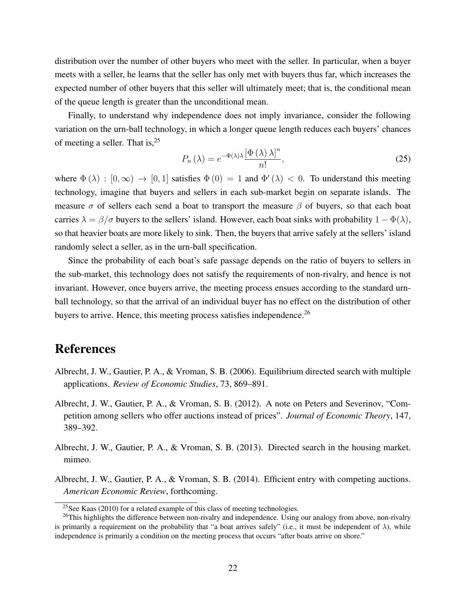distribution over the number of other buyers who meet with the seller. In particular, when a buyer meets with a seller, he learns that the seller has only met with buyers thus far, which increases the expected number of other buyers that this seller will ultimately meet; that is, the conditional mean of the queue length is greater than the unconditional mean.

Finally, to understand why independence does not imply invariance, consider the following variation on the urn-ball technology, in which a longer queue length reduces each buyers' chances of meeting a seller. That is,  $2^5$ 

$$
P_n(\lambda) = e^{-\Phi(\lambda)\lambda} \frac{\left[\Phi(\lambda)\lambda\right]^n}{n!},\tag{25}
$$

where  $\Phi(\lambda) : [0, \infty) \to [0, 1]$  satisfies  $\Phi(0) = 1$  and  $\Phi'(\lambda) < 0$ . To understand this meeting technology, imagine that buyers and sellers in each sub-market begin on separate islands. The measure  $\sigma$  of sellers each send a boat to transport the measure  $\beta$  of buyers, so that each boat carries  $\lambda = \beta/\sigma$  buyers to the sellers' island. However, each boat sinks with probability  $1 - \Phi(\lambda)$ , so that heavier boats are more likely to sink. Then, the buyers that arrive safely at the sellers' island randomly select a seller, as in the urn-ball specification.

Since the probability of each boat's safe passage depends on the ratio of buyers to sellers in the sub-market, this technology does not satisfy the requirements of non-rivalry, and hence is not invariant. However, once buyers arrive, the meeting process ensues according to the standard urnball technology, so that the arrival of an individual buyer has no effect on the distribution of other buyers to arrive. Hence, this meeting process satisfies independence.<sup>26</sup>

# References

- Albrecht, J. W., Gautier, P. A., & Vroman, S. B. (2006). Equilibrium directed search with multiple applications. *Review of Economic Studies*, 73, 869–891.
- Albrecht, J. W., Gautier, P. A., & Vroman, S. B. (2012). A note on Peters and Severinov, "Competition among sellers who offer auctions instead of prices". *Journal of Economic Theory*, 147, 389–392.
- Albrecht, J. W., Gautier, P. A., & Vroman, S. B. (2013). Directed search in the housing market. mimeo.
- Albrecht, J. W., Gautier, P. A., & Vroman, S. B. (2014). Efficient entry with competing auctions. *American Economic Review*, forthcoming.

<sup>&</sup>lt;sup>25</sup>See Kaas (2010) for a related example of this class of meeting technologies.

 $^{26}$ This highlights the difference between non-rivalry and independence. Using our analogy from above, non-rivalry is primarily a requirement on the probability that "a boat arrives safely" (i.e., it must be independent of  $\lambda$ ), while independence is primarily a condition on the meeting process that occurs "after boats arrive on shore."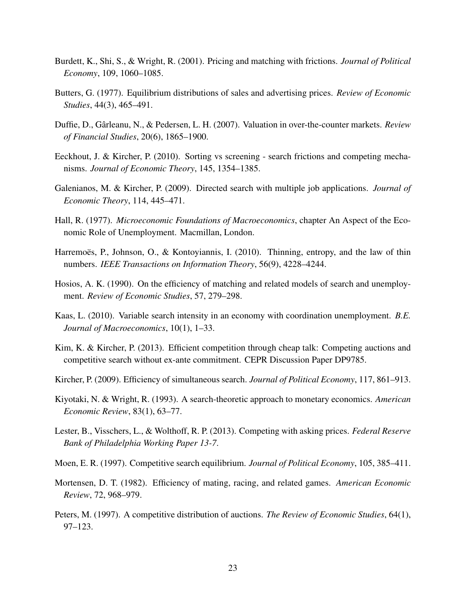- Burdett, K., Shi, S., & Wright, R. (2001). Pricing and matching with frictions. *Journal of Political Economy*, 109, 1060–1085.
- Butters, G. (1977). Equilibrium distributions of sales and advertising prices. *Review of Economic Studies*, 44(3), 465–491.
- Duffie, D., Gârleanu, N., & Pedersen, L. H. (2007). Valuation in over-the-counter markets. *Review of Financial Studies*, 20(6), 1865–1900.
- Eeckhout, J. & Kircher, P. (2010). Sorting vs screening search frictions and competing mechanisms. *Journal of Economic Theory*, 145, 1354–1385.
- Galenianos, M. & Kircher, P. (2009). Directed search with multiple job applications. *Journal of Economic Theory*, 114, 445–471.
- Hall, R. (1977). *Microeconomic Foundations of Macroeconomics*, chapter An Aspect of the Economic Role of Unemployment. Macmillan, London.
- Harremoes, P., Johnson, O., & Kontoyiannis, I. (2010). Thinning, entropy, and the law of thin numbers. *IEEE Transactions on Information Theory*, 56(9), 4228–4244.
- Hosios, A. K. (1990). On the efficiency of matching and related models of search and unemployment. *Review of Economic Studies*, 57, 279–298.
- Kaas, L. (2010). Variable search intensity in an economy with coordination unemployment. *B.E. Journal of Macroeconomics*, 10(1), 1–33.
- Kim, K. & Kircher, P. (2013). Efficient competition through cheap talk: Competing auctions and competitive search without ex-ante commitment. CEPR Discussion Paper DP9785.
- Kircher, P. (2009). Efficiency of simultaneous search. *Journal of Political Economy*, 117, 861–913.
- Kiyotaki, N. & Wright, R. (1993). A search-theoretic approach to monetary economics. *American Economic Review*, 83(1), 63–77.
- Lester, B., Visschers, L., & Wolthoff, R. P. (2013). Competing with asking prices. *Federal Reserve Bank of Philadelphia Working Paper 13-7*.
- Moen, E. R. (1997). Competitive search equilibrium. *Journal of Political Economy*, 105, 385–411.
- Mortensen, D. T. (1982). Efficiency of mating, racing, and related games. *American Economic Review*, 72, 968–979.
- Peters, M. (1997). A competitive distribution of auctions. *The Review of Economic Studies*, 64(1), 97–123.